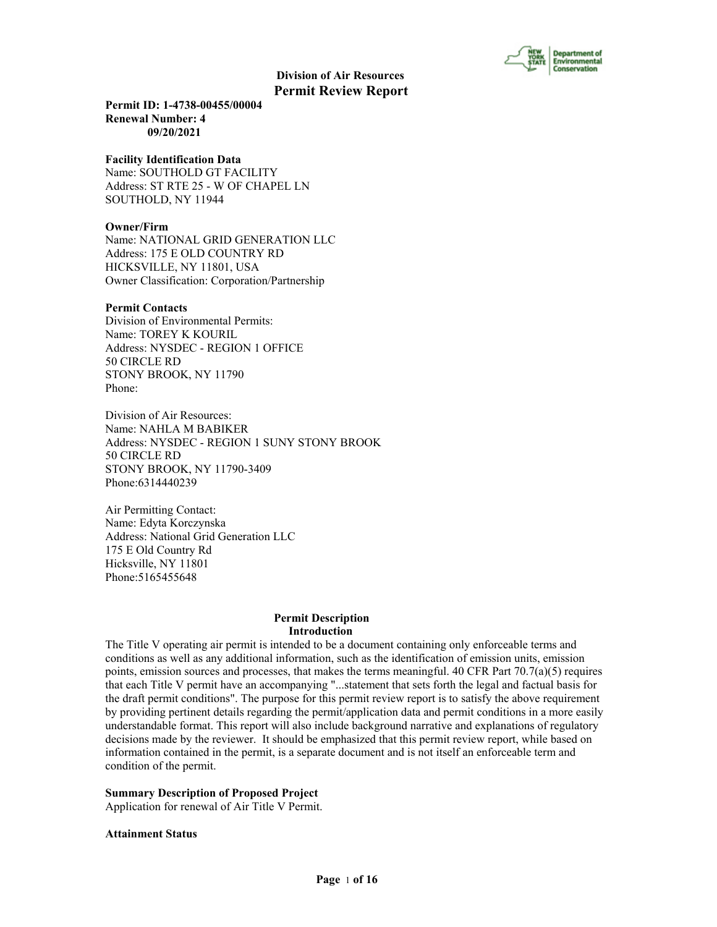

**Permit ID: 1-4738-00455/00004 Renewal Number: 4 09/20/2021**

#### **Facility Identification Data**

Name: SOUTHOLD GT FACILITY Address: ST RTE 25 - W OF CHAPEL LN SOUTHOLD, NY 11944

# **Owner/Firm**

Name: NATIONAL GRID GENERATION LLC Address: 175 E OLD COUNTRY RD HICKSVILLE, NY 11801, USA Owner Classification: Corporation/Partnership

#### **Permit Contacts**

Division of Environmental Permits: Name: TOREY K KOURIL Address: NYSDEC - REGION 1 OFFICE 50 CIRCLE RD STONY BROOK, NY 11790 Phone:

Division of Air Resources: Name: NAHLA M BABIKER Address: NYSDEC - REGION 1 SUNY STONY BROOK 50 CIRCLE RD STONY BROOK, NY 11790-3409 Phone:6314440239

Air Permitting Contact: Name: Edyta Korczynska Address: National Grid Generation LLC 175 E Old Country Rd Hicksville, NY 11801 Phone:5165455648

#### **Permit Description Introduction**

The Title V operating air permit is intended to be a document containing only enforceable terms and conditions as well as any additional information, such as the identification of emission units, emission points, emission sources and processes, that makes the terms meaningful. 40 CFR Part  $70.7(a)(5)$  requires that each Title V permit have an accompanying "...statement that sets forth the legal and factual basis for the draft permit conditions". The purpose for this permit review report is to satisfy the above requirement by providing pertinent details regarding the permit/application data and permit conditions in a more easily understandable format. This report will also include background narrative and explanations of regulatory decisions made by the reviewer. It should be emphasized that this permit review report, while based on information contained in the permit, is a separate document and is not itself an enforceable term and condition of the permit.

**Summary Description of Proposed Project**

Application for renewal of Air Title V Permit.

#### **Attainment Status**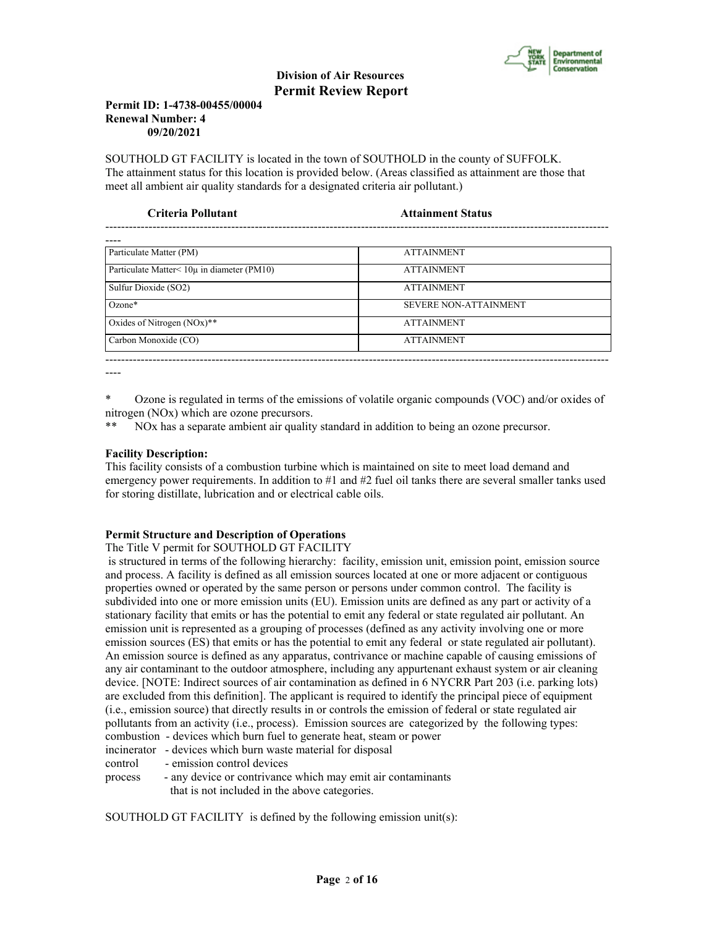

# **Permit ID: 1-4738-00455/00004 Renewal Number: 4 09/20/2021**

SOUTHOLD GT FACILITY is located in the town of SOUTHOLD in the county of SUFFOLK. The attainment status for this location is provided below. (Areas classified as attainment are those that meet all ambient air quality standards for a designated criteria air pollutant.)

| <b>Attainment Status</b>     |
|------------------------------|
|                              |
| <b>ATTAINMENT</b>            |
| <b>ATTAINMENT</b>            |
| <b>ATTAINMENT</b>            |
| <b>SEVERE NON-ATTAINMENT</b> |
| <b>ATTAINMENT</b>            |
| <b>ATTAINMENT</b>            |
|                              |

----

\* Ozone is regulated in terms of the emissions of volatile organic compounds (VOC) and/or oxides of nitrogen (NOx) which are ozone precursors.

\*\* NOx has a separate ambient air quality standard in addition to being an ozone precursor.

# **Facility Description:**

This facility consists of a combustion turbine which is maintained on site to meet load demand and emergency power requirements. In addition to #1 and #2 fuel oil tanks there are several smaller tanks used for storing distillate, lubrication and or electrical cable oils.

# **Permit Structure and Description of Operations**

# The Title V permit for SOUTHOLD GT FACILITY

 is structured in terms of the following hierarchy: facility, emission unit, emission point, emission source and process. A facility is defined as all emission sources located at one or more adjacent or contiguous properties owned or operated by the same person or persons under common control. The facility is subdivided into one or more emission units (EU). Emission units are defined as any part or activity of a stationary facility that emits or has the potential to emit any federal or state regulated air pollutant. An emission unit is represented as a grouping of processes (defined as any activity involving one or more emission sources (ES) that emits or has the potential to emit any federal or state regulated air pollutant). An emission source is defined as any apparatus, contrivance or machine capable of causing emissions of any air contaminant to the outdoor atmosphere, including any appurtenant exhaust system or air cleaning device. [NOTE: Indirect sources of air contamination as defined in 6 NYCRR Part 203 (i.e. parking lots) are excluded from this definition]. The applicant is required to identify the principal piece of equipment (i.e., emission source) that directly results in or controls the emission of federal or state regulated air pollutants from an activity (i.e., process). Emission sources are categorized by the following types: combustion - devices which burn fuel to generate heat, steam or power

incinerator - devices which burn waste material for disposal

control - emission control devices

process - any device or contrivance which may emit air contaminants that is not included in the above categories.

SOUTHOLD GT FACILITY is defined by the following emission unit(s):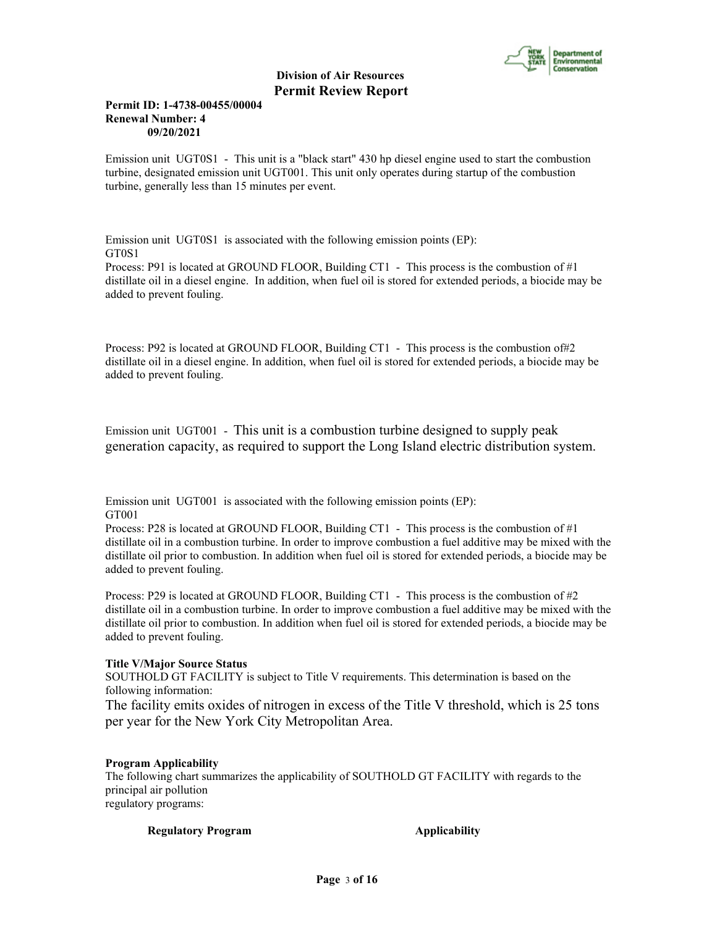

# **Permit ID: 1-4738-00455/00004 Renewal Number: 4 09/20/2021**

Emission unit UGT0S1 - This unit is a "black start" 430 hp diesel engine used to start the combustion turbine, designated emission unit UGT001. This unit only operates during startup of the combustion turbine, generally less than 15 minutes per event.

Emission unit UGT0S1 is associated with the following emission points (EP): GT0S1

Process: P91 is located at GROUND FLOOR, Building CT1 - This process is the combustion of #1 distillate oil in a diesel engine. In addition, when fuel oil is stored for extended periods, a biocide may be added to prevent fouling.

Process: P92 is located at GROUND FLOOR, Building CT1 - This process is the combustion of#2 distillate oil in a diesel engine. In addition, when fuel oil is stored for extended periods, a biocide may be added to prevent fouling.

Emission unit UGT001 - This unit is a combustion turbine designed to supply peak generation capacity, as required to support the Long Island electric distribution system.

Emission unit UGT001 is associated with the following emission points (EP): GT001

Process: P28 is located at GROUND FLOOR, Building CT1 - This process is the combustion of #1 distillate oil in a combustion turbine. In order to improve combustion a fuel additive may be mixed with the distillate oil prior to combustion. In addition when fuel oil is stored for extended periods, a biocide may be added to prevent fouling.

Process: P29 is located at GROUND FLOOR, Building CT1 - This process is the combustion of  $\#2$ distillate oil in a combustion turbine. In order to improve combustion a fuel additive may be mixed with the distillate oil prior to combustion. In addition when fuel oil is stored for extended periods, a biocide may be added to prevent fouling.

# **Title V/Major Source Status**

SOUTHOLD GT FACILITY is subject to Title V requirements. This determination is based on the following information:

The facility emits oxides of nitrogen in excess of the Title V threshold, which is 25 tons per year for the New York City Metropolitan Area.

# **Program Applicability**

The following chart summarizes the applicability of SOUTHOLD GT FACILITY with regards to the principal air pollution regulatory programs:

**Regulatory Program Applicability**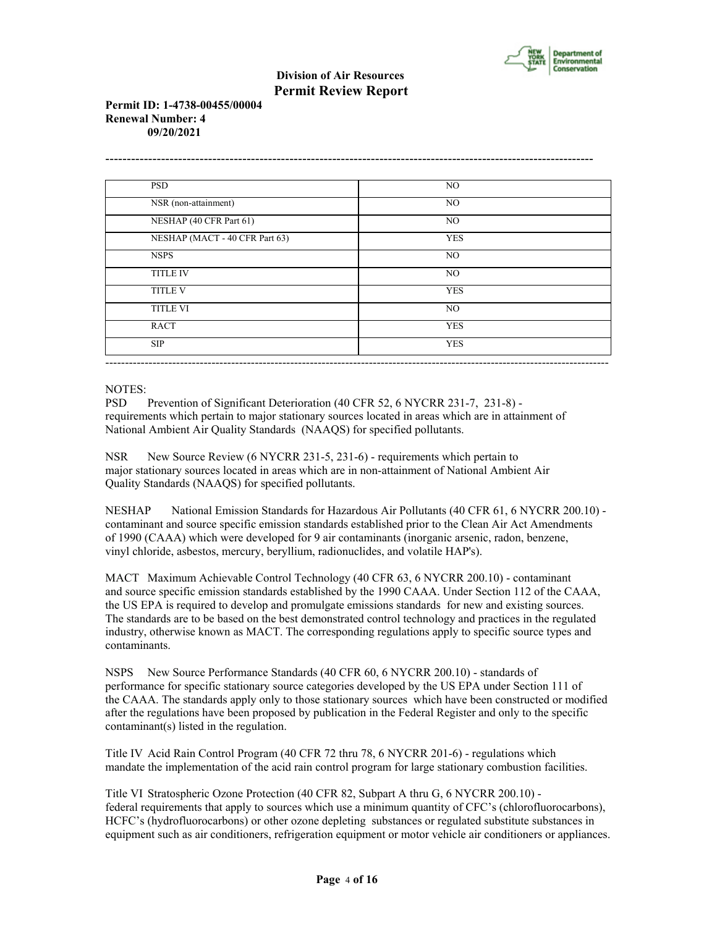

# **Permit ID: 1-4738-00455/00004 Renewal Number: 4 09/20/2021**

| <b>PSD</b>                     | NO         |
|--------------------------------|------------|
| NSR (non-attainment)           | NO         |
| NESHAP (40 CFR Part 61)        | NO         |
| NESHAP (MACT - 40 CFR Part 63) | <b>YES</b> |
| <b>NSPS</b>                    | NO         |
| <b>TITLE IV</b>                | NO.        |
| <b>TITLE V</b>                 | <b>YES</b> |
| <b>TITLE VI</b>                | NO         |
| <b>RACT</b>                    | <b>YES</b> |
| <b>SIP</b>                     | <b>YES</b> |

# NOTES:

PSD Prevention of Significant Deterioration (40 CFR 52, 6 NYCRR 231-7, 231-8) requirements which pertain to major stationary sources located in areas which are in attainment of National Ambient Air Quality Standards (NAAQS) for specified pollutants.

NSR New Source Review (6 NYCRR 231-5, 231-6) - requirements which pertain to major stationary sources located in areas which are in non-attainment of National Ambient Air Quality Standards (NAAQS) for specified pollutants.

NESHAP National Emission Standards for Hazardous Air Pollutants (40 CFR 61, 6 NYCRR 200.10) contaminant and source specific emission standards established prior to the Clean Air Act Amendments of 1990 (CAAA) which were developed for 9 air contaminants (inorganic arsenic, radon, benzene, vinyl chloride, asbestos, mercury, beryllium, radionuclides, and volatile HAP's).

MACT Maximum Achievable Control Technology (40 CFR 63, 6 NYCRR 200.10) - contaminant and source specific emission standards established by the 1990 CAAA. Under Section 112 of the CAAA, the US EPA is required to develop and promulgate emissions standards for new and existing sources. The standards are to be based on the best demonstrated control technology and practices in the regulated industry, otherwise known as MACT. The corresponding regulations apply to specific source types and contaminants.

NSPS New Source Performance Standards (40 CFR 60, 6 NYCRR 200.10) - standards of performance for specific stationary source categories developed by the US EPA under Section 111 of the CAAA. The standards apply only to those stationary sources which have been constructed or modified after the regulations have been proposed by publication in the Federal Register and only to the specific contaminant(s) listed in the regulation.

Title IV Acid Rain Control Program (40 CFR 72 thru 78, 6 NYCRR 201-6) - regulations which mandate the implementation of the acid rain control program for large stationary combustion facilities.

Title VI Stratospheric Ozone Protection (40 CFR 82, Subpart A thru G, 6 NYCRR 200.10) federal requirements that apply to sources which use a minimum quantity of CFC's (chlorofluorocarbons), HCFC's (hydrofluorocarbons) or other ozone depleting substances or regulated substitute substances in equipment such as air conditioners, refrigeration equipment or motor vehicle air conditioners or appliances.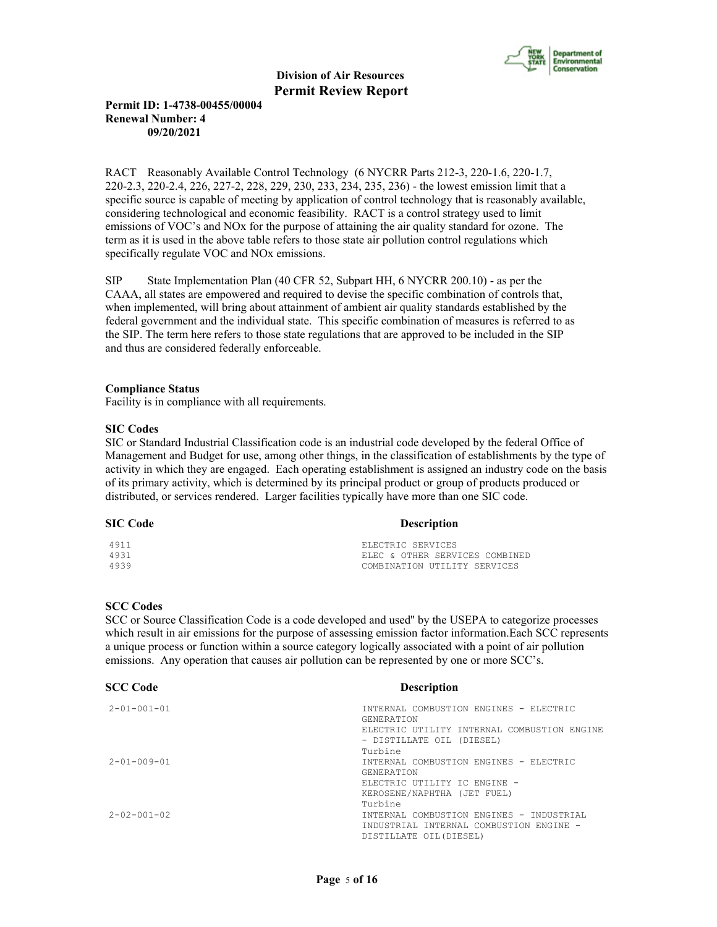

# **Permit ID: 1-4738-00455/00004 Renewal Number: 4 09/20/2021**

RACT Reasonably Available Control Technology (6 NYCRR Parts 212-3, 220-1.6, 220-1.7, 220-2.3, 220-2.4, 226, 227-2, 228, 229, 230, 233, 234, 235, 236) - the lowest emission limit that a specific source is capable of meeting by application of control technology that is reasonably available, considering technological and economic feasibility. RACT is a control strategy used to limit emissions of VOC's and NOx for the purpose of attaining the air quality standard for ozone. The term as it is used in the above table refers to those state air pollution control regulations which specifically regulate VOC and NOx emissions.

SIP State Implementation Plan (40 CFR 52, Subpart HH, 6 NYCRR 200.10) - as per the CAAA, all states are empowered and required to devise the specific combination of controls that, when implemented, will bring about attainment of ambient air quality standards established by the federal government and the individual state. This specific combination of measures is referred to as the SIP. The term here refers to those state regulations that are approved to be included in the SIP and thus are considered federally enforceable.

#### **Compliance Status**

Facility is in compliance with all requirements.

#### **SIC Codes**

SIC or Standard Industrial Classification code is an industrial code developed by the federal Office of Management and Budget for use, among other things, in the classification of establishments by the type of activity in which they are engaged. Each operating establishment is assigned an industry code on the basis of its primary activity, which is determined by its principal product or group of products produced or distributed, or services rendered. Larger facilities typically have more than one SIC code.

# **SIC Code** Description

| 4911 | ELECTRIC SERVICES              |
|------|--------------------------------|
| 4931 | ELEC & OTHER SERVICES COMBINED |
| 4939 | COMBINATION UTILITY SERVICES   |

#### **SCC Codes**

SCC or Source Classification Code is a code developed and used'' by the USEPA to categorize processes which result in air emissions for the purpose of assessing emission factor information.Each SCC represents a unique process or function within a source category logically associated with a point of air pollution emissions. Any operation that causes air pollution can be represented by one or more SCC's.

| <b>SCC Code</b>     | <b>Description</b>                                          |
|---------------------|-------------------------------------------------------------|
| $2 - 01 - 001 - 01$ | INTERNAL COMBUSTION ENGINES - ELECTRIC<br><b>GENERATION</b> |
|                     | ELECTRIC UTILITY INTERNAL COMBUSTION ENGINE                 |
|                     | - DISTILLATE OIL (DIESEL)                                   |
|                     | Turbine                                                     |
| $2 - 01 - 009 - 01$ | INTERNAL COMBUSTION ENGINES - ELECTRIC                      |
|                     | <b>GENERATION</b>                                           |
|                     | ELECTRIC UTILITY IC ENGINE -                                |
|                     | KEROSENE/NAPHTHA (JET FUEL)                                 |
|                     | Turbine                                                     |
| $2 - 02 - 001 - 02$ | INTERNAL COMBUSTION ENGINES - INDUSTRIAL                    |
|                     | INDUSTRIAL INTERNAL COMBUSTION ENGINE -                     |
|                     | DISTILLATE OIL(DIESEL)                                      |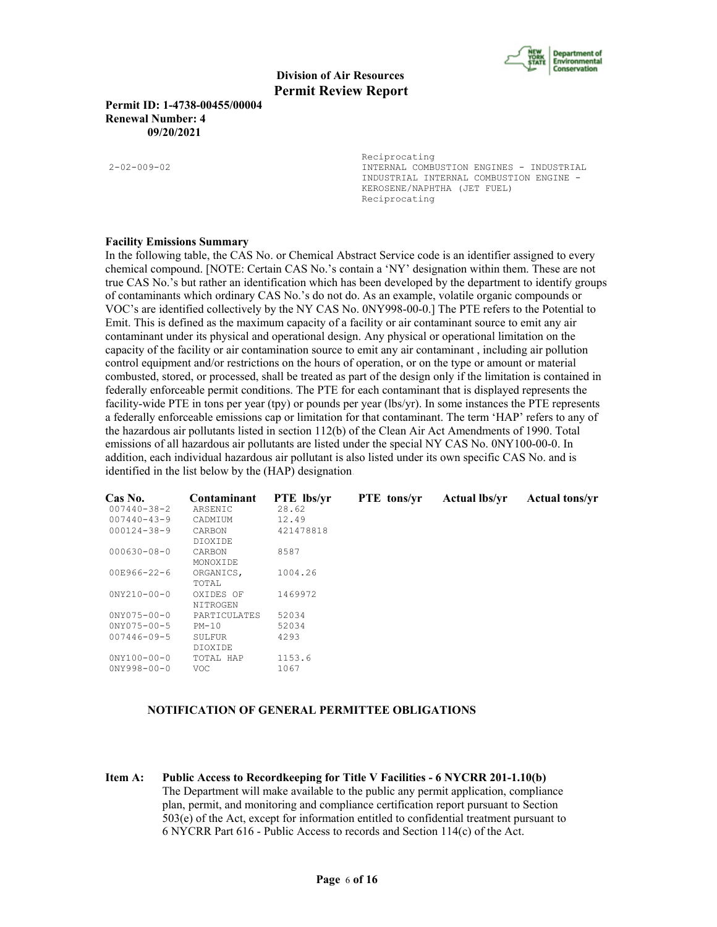

**Permit ID: 1-4738-00455/00004 Renewal Number: 4 09/20/2021**

Reciprocating 2-02-009-02 INTERNAL COMBUSTION ENGINES - INDUSTRIAL INDUSTRIAL INTERNAL COMBUSTION ENGINE - KEROSENE/NAPHTHA (JET FUEL) Reciprocating

#### **Facility Emissions Summary**

In the following table, the CAS No. or Chemical Abstract Service code is an identifier assigned to every chemical compound. [NOTE: Certain CAS No.'s contain a 'NY' designation within them. These are not true CAS No.'s but rather an identification which has been developed by the department to identify groups of contaminants which ordinary CAS No.'s do not do. As an example, volatile organic compounds or VOC's are identified collectively by the NY CAS No. 0NY998-00-0.] The PTE refers to the Potential to Emit. This is defined as the maximum capacity of a facility or air contaminant source to emit any air contaminant under its physical and operational design. Any physical or operational limitation on the capacity of the facility or air contamination source to emit any air contaminant , including air pollution control equipment and/or restrictions on the hours of operation, or on the type or amount or material combusted, stored, or processed, shall be treated as part of the design only if the limitation is contained in federally enforceable permit conditions. The PTE for each contaminant that is displayed represents the facility-wide PTE in tons per year (tpy) or pounds per year (lbs/yr). In some instances the PTE represents a federally enforceable emissions cap or limitation for that contaminant. The term 'HAP' refers to any of the hazardous air pollutants listed in section 112(b) of the Clean Air Act Amendments of 1990. Total emissions of all hazardous air pollutants are listed under the special NY CAS No. 0NY100-00-0. In addition, each individual hazardous air pollutant is also listed under its own specific CAS No. and is identified in the list below by the (HAP) designation.

| Cas No.<br>$007440 - 38 - 2$ | Contaminant<br>ARSENIC | <b>PTE</b> lbs/yr<br>28.62 | <b>PTE</b> tons/yr | <b>Actual lbs/vr</b> | <b>Actual tons/yr</b> |
|------------------------------|------------------------|----------------------------|--------------------|----------------------|-----------------------|
| $007440 - 43 - 9$            | CADMIUM                | 12.49                      |                    |                      |                       |
| $000124 - 38 - 9$            | CARBON<br>DIOXIDE      | 421478818                  |                    |                      |                       |
| $000630 - 08 - 0$            | CARBON<br>MONOXIDE     | 8587                       |                    |                      |                       |
| 00E966-22-6                  | ORGANICS,<br>TOTAL     | 1004.26                    |                    |                      |                       |
| $0NY210-00-0$                | OXIDES OF<br>NITROGEN  | 1469972                    |                    |                      |                       |
| $0NY075 - 00 - 0$            | PARTICULATES           | 52034                      |                    |                      |                       |
| $0NY075 - 00 - 5$            | $PM-10$                | 52034                      |                    |                      |                       |
| $007446 - 09 - 5$            | SULFUR                 | 4293                       |                    |                      |                       |
|                              | DIOXIDE                |                            |                    |                      |                       |
| $0'NY100-00-0$               | TOTAL HAP              | 1153.6                     |                    |                      |                       |
| $0NY998 - 00 - 0$            | VOC.                   | 1067                       |                    |                      |                       |

#### **NOTIFICATION OF GENERAL PERMITTEE OBLIGATIONS**

**Item A: Public Access to Recordkeeping for Title V Facilities - 6 NYCRR 201-1.10(b)** The Department will make available to the public any permit application, compliance plan, permit, and monitoring and compliance certification report pursuant to Section 503(e) of the Act, except for information entitled to confidential treatment pursuant to 6 NYCRR Part 616 - Public Access to records and Section 114(c) of the Act.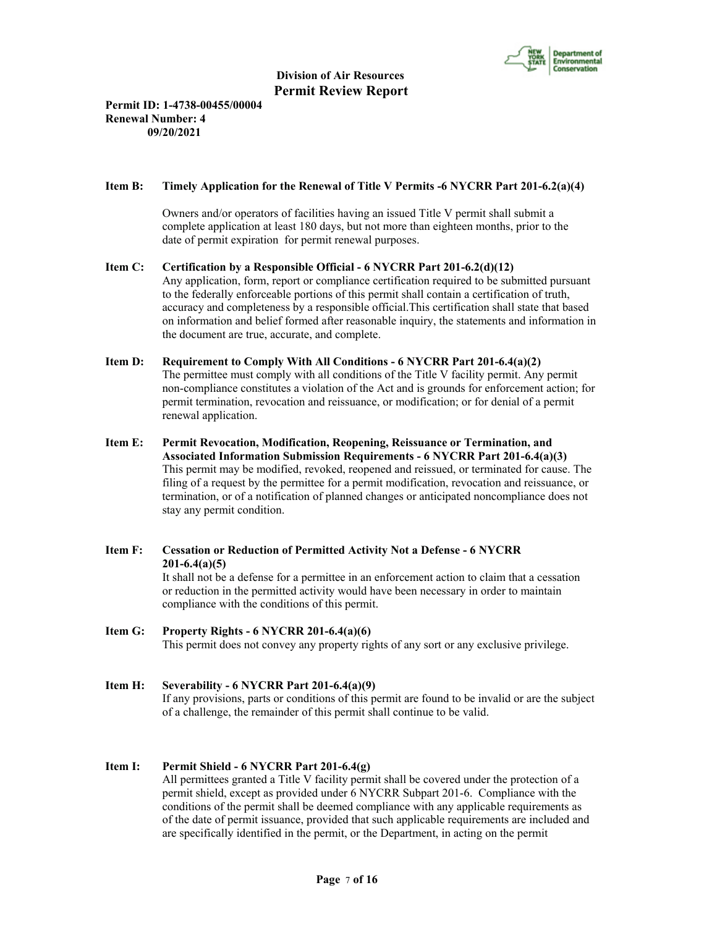

# **Permit ID: 1-4738-00455/00004 Renewal Number: 4 09/20/2021**

# **Item B: Timely Application for the Renewal of Title V Permits -6 NYCRR Part 201-6.2(a)(4)**

 Owners and/or operators of facilities having an issued Title V permit shall submit a complete application at least 180 days, but not more than eighteen months, prior to the date of permit expiration for permit renewal purposes.

# **Item C: Certification by a Responsible Official - 6 NYCRR Part 201-6.2(d)(12)**

 Any application, form, report or compliance certification required to be submitted pursuant to the federally enforceable portions of this permit shall contain a certification of truth, accuracy and completeness by a responsible official.This certification shall state that based on information and belief formed after reasonable inquiry, the statements and information in the document are true, accurate, and complete.

## **Item D: Requirement to Comply With All Conditions - 6 NYCRR Part 201-6.4(a)(2)** The permittee must comply with all conditions of the Title V facility permit. Any permit non-compliance constitutes a violation of the Act and is grounds for enforcement action; for permit termination, revocation and reissuance, or modification; or for denial of a permit renewal application.

**Item E: Permit Revocation, Modification, Reopening, Reissuance or Termination, and Associated Information Submission Requirements - 6 NYCRR Part 201-6.4(a)(3)** This permit may be modified, revoked, reopened and reissued, or terminated for cause. The filing of a request by the permittee for a permit modification, revocation and reissuance, or termination, or of a notification of planned changes or anticipated noncompliance does not stay any permit condition.

# **Item F: Cessation or Reduction of Permitted Activity Not a Defense - 6 NYCRR 201-6.4(a)(5)**

 It shall not be a defense for a permittee in an enforcement action to claim that a cessation or reduction in the permitted activity would have been necessary in order to maintain compliance with the conditions of this permit.

# **Item G: Property Rights - 6 NYCRR 201-6.4(a)(6)**

This permit does not convey any property rights of any sort or any exclusive privilege.

#### **Item H: Severability - 6 NYCRR Part 201-6.4(a)(9)**

 If any provisions, parts or conditions of this permit are found to be invalid or are the subject of a challenge, the remainder of this permit shall continue to be valid.

#### **Item I: Permit Shield - 6 NYCRR Part 201-6.4(g)**

 All permittees granted a Title V facility permit shall be covered under the protection of a permit shield, except as provided under 6 NYCRR Subpart 201-6. Compliance with the conditions of the permit shall be deemed compliance with any applicable requirements as of the date of permit issuance, provided that such applicable requirements are included and are specifically identified in the permit, or the Department, in acting on the permit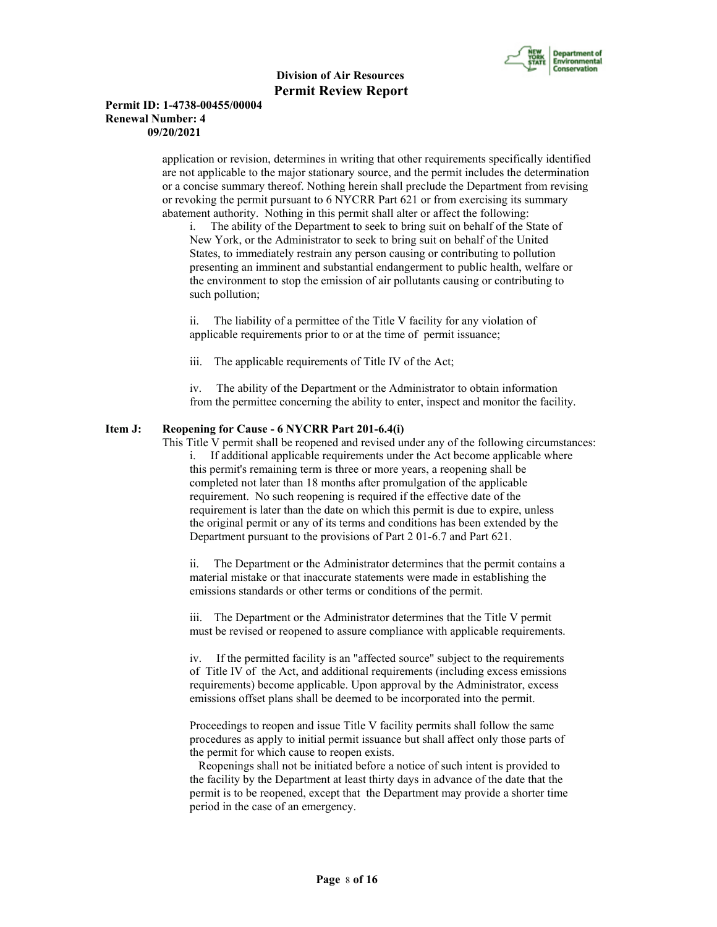

## **Permit ID: 1-4738-00455/00004 Renewal Number: 4 09/20/2021**

 application or revision, determines in writing that other requirements specifically identified are not applicable to the major stationary source, and the permit includes the determination or a concise summary thereof. Nothing herein shall preclude the Department from revising or revoking the permit pursuant to 6 NYCRR Part 621 or from exercising its summary abatement authority. Nothing in this permit shall alter or affect the following:

i. The ability of the Department to seek to bring suit on behalf of the State of New York, or the Administrator to seek to bring suit on behalf of the United States, to immediately restrain any person causing or contributing to pollution presenting an imminent and substantial endangerment to public health, welfare or the environment to stop the emission of air pollutants causing or contributing to such pollution;

ii. The liability of a permittee of the Title V facility for any violation of applicable requirements prior to or at the time of permit issuance;

iii. The applicable requirements of Title IV of the Act;

iv. The ability of the Department or the Administrator to obtain information from the permittee concerning the ability to enter, inspect and monitor the facility.

#### **Item J: Reopening for Cause - 6 NYCRR Part 201-6.4(i)**

 This Title V permit shall be reopened and revised under any of the following circumstances: i. If additional applicable requirements under the Act become applicable where this permit's remaining term is three or more years, a reopening shall be completed not later than 18 months after promulgation of the applicable requirement. No such reopening is required if the effective date of the requirement is later than the date on which this permit is due to expire, unless the original permit or any of its terms and conditions has been extended by the Department pursuant to the provisions of Part 2 01-6.7 and Part 621.

ii. The Department or the Administrator determines that the permit contains a material mistake or that inaccurate statements were made in establishing the emissions standards or other terms or conditions of the permit.

iii. The Department or the Administrator determines that the Title V permit must be revised or reopened to assure compliance with applicable requirements.

iv. If the permitted facility is an "affected source" subject to the requirements of Title IV of the Act, and additional requirements (including excess emissions requirements) become applicable. Upon approval by the Administrator, excess emissions offset plans shall be deemed to be incorporated into the permit.

Proceedings to reopen and issue Title V facility permits shall follow the same procedures as apply to initial permit issuance but shall affect only those parts of the permit for which cause to reopen exists.

 Reopenings shall not be initiated before a notice of such intent is provided to the facility by the Department at least thirty days in advance of the date that the permit is to be reopened, except that the Department may provide a shorter time period in the case of an emergency.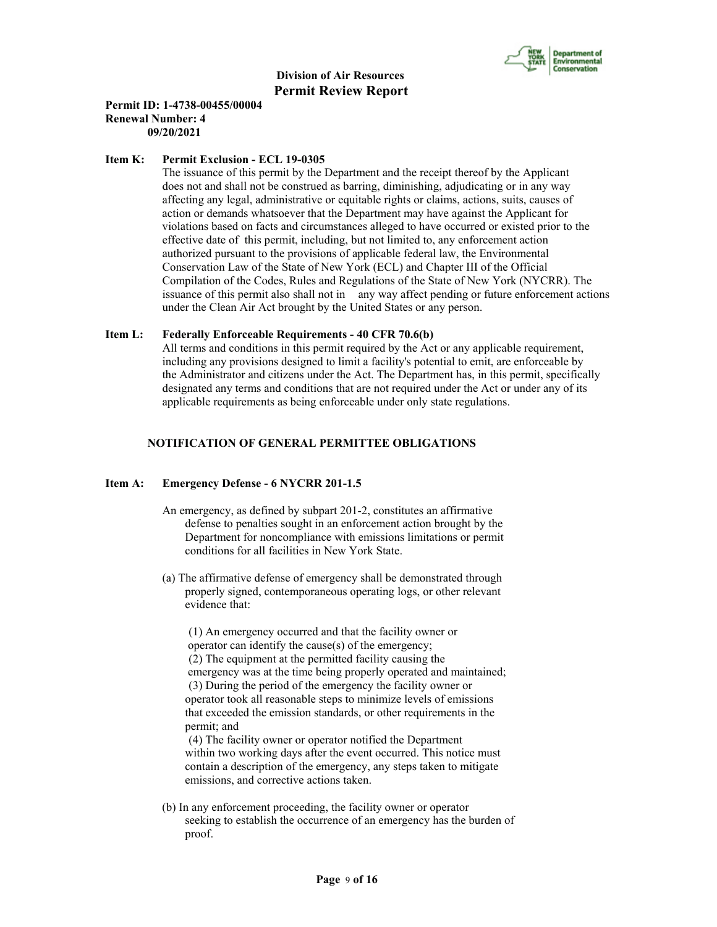

# **Permit ID: 1-4738-00455/00004 Renewal Number: 4 09/20/2021**

#### **Item K: Permit Exclusion - ECL 19-0305**

 The issuance of this permit by the Department and the receipt thereof by the Applicant does not and shall not be construed as barring, diminishing, adjudicating or in any way affecting any legal, administrative or equitable rights or claims, actions, suits, causes of action or demands whatsoever that the Department may have against the Applicant for violations based on facts and circumstances alleged to have occurred or existed prior to the effective date of this permit, including, but not limited to, any enforcement action authorized pursuant to the provisions of applicable federal law, the Environmental Conservation Law of the State of New York (ECL) and Chapter III of the Official Compilation of the Codes, Rules and Regulations of the State of New York (NYCRR). The issuance of this permit also shall not in any way affect pending or future enforcement actions under the Clean Air Act brought by the United States or any person.

#### **Item L: Federally Enforceable Requirements - 40 CFR 70.6(b)**

 All terms and conditions in this permit required by the Act or any applicable requirement, including any provisions designed to limit a facility's potential to emit, are enforceable by the Administrator and citizens under the Act. The Department has, in this permit, specifically designated any terms and conditions that are not required under the Act or under any of its applicable requirements as being enforceable under only state regulations.

# **NOTIFICATION OF GENERAL PERMITTEE OBLIGATIONS**

# **Item A: Emergency Defense - 6 NYCRR 201-1.5**

- An emergency, as defined by subpart 201-2, constitutes an affirmative defense to penalties sought in an enforcement action brought by the Department for noncompliance with emissions limitations or permit conditions for all facilities in New York State.
- (a) The affirmative defense of emergency shall be demonstrated through properly signed, contemporaneous operating logs, or other relevant evidence that:

 (1) An emergency occurred and that the facility owner or operator can identify the cause(s) of the emergency; (2) The equipment at the permitted facility causing the emergency was at the time being properly operated and maintained; (3) During the period of the emergency the facility owner or operator took all reasonable steps to minimize levels of emissions that exceeded the emission standards, or other requirements in the permit; and

 (4) The facility owner or operator notified the Department within two working days after the event occurred. This notice must contain a description of the emergency, any steps taken to mitigate emissions, and corrective actions taken.

 (b) In any enforcement proceeding, the facility owner or operator seeking to establish the occurrence of an emergency has the burden of proof.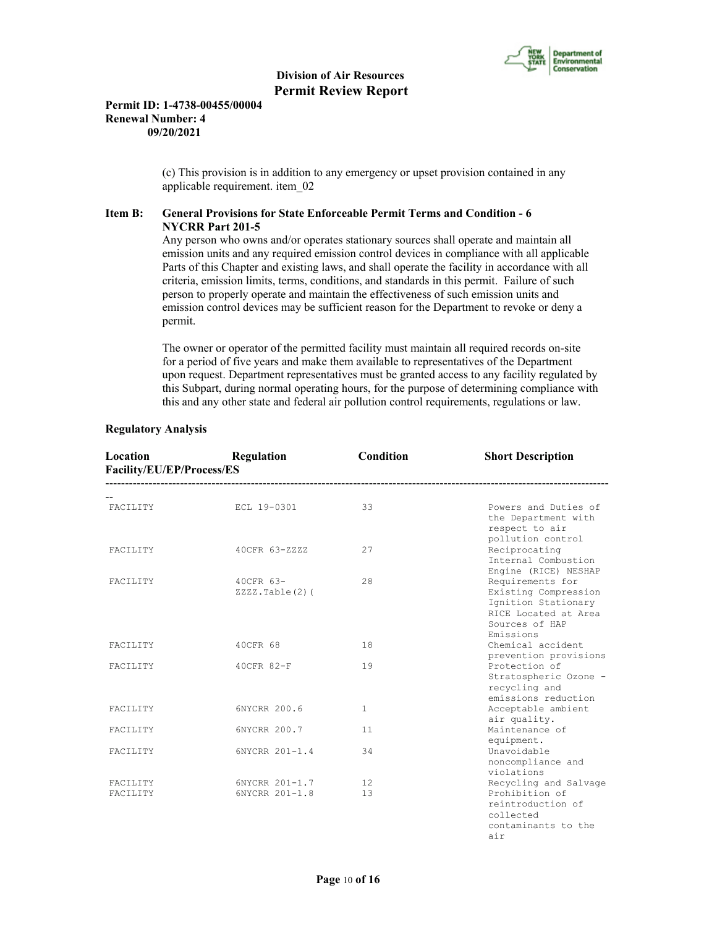

## **Permit ID: 1-4738-00455/00004 Renewal Number: 4 09/20/2021**

 (c) This provision is in addition to any emergency or upset provision contained in any applicable requirement. item\_02

# **Item B: General Provisions for State Enforceable Permit Terms and Condition - 6 NYCRR Part 201-5**

 Any person who owns and/or operates stationary sources shall operate and maintain all emission units and any required emission control devices in compliance with all applicable Parts of this Chapter and existing laws, and shall operate the facility in accordance with all criteria, emission limits, terms, conditions, and standards in this permit. Failure of such person to properly operate and maintain the effectiveness of such emission units and emission control devices may be sufficient reason for the Department to revoke or deny a permit.

 The owner or operator of the permitted facility must maintain all required records on-site for a period of five years and make them available to representatives of the Department upon request. Department representatives must be granted access to any facility regulated by this Subpart, during normal operating hours, for the purpose of determining compliance with this and any other state and federal air pollution control requirements, regulations or law.

| Location<br>Facility/EU/EP/Process/ES | Regulation                          | Condition    | <b>Short Description</b>                                                                                               |
|---------------------------------------|-------------------------------------|--------------|------------------------------------------------------------------------------------------------------------------------|
| <b>FACTLITY</b>                       | ECL 19-0301                         | 33           | Powers and Duties of<br>the Department with<br>respect to air                                                          |
| FACILITY                              | 40CFR 63-ZZZZ                       | 27           | pollution control<br>Reciprocating<br>Internal Combustion<br>Engine (RICE) NESHAP                                      |
| <b>FACTLITY</b>                       | 40CFR 63-<br>$ZZZZ$ . Table $(2)$ ( | 28           | Requirements for<br>Existing Compression<br>Ignition Stationary<br>RICE Located at Area<br>Sources of HAP<br>Emissions |
| FACILITY                              | 40CFR 68                            | 18           | Chemical accident<br>prevention provisions                                                                             |
| FACILITY                              | 40CFR 82-F                          | 19           | Protection of<br>Stratospheric Ozone -<br>recycling and<br>emissions reduction                                         |
| FACILITY                              | 6NYCRR 200.6                        | $\mathbf{1}$ | Acceptable ambient<br>air quality.                                                                                     |
| FACILITY                              | 6NYCRR 200.7                        | 11           | Maintenance of<br>equipment.                                                                                           |
| FACILITY                              | 6NYCRR 201-1.4                      | 34           | Unavoidable<br>noncompliance and<br>violations                                                                         |
| FACILITY                              | 6NYCRR 201-1.7                      | 12.          | Recycling and Salvage                                                                                                  |
| FACILITY                              | 6NYCRR 201-1.8                      | 13           | Prohibition of<br>reintroduction of<br>collected<br>contaminants to the<br>air                                         |

# **Regulatory Analysis**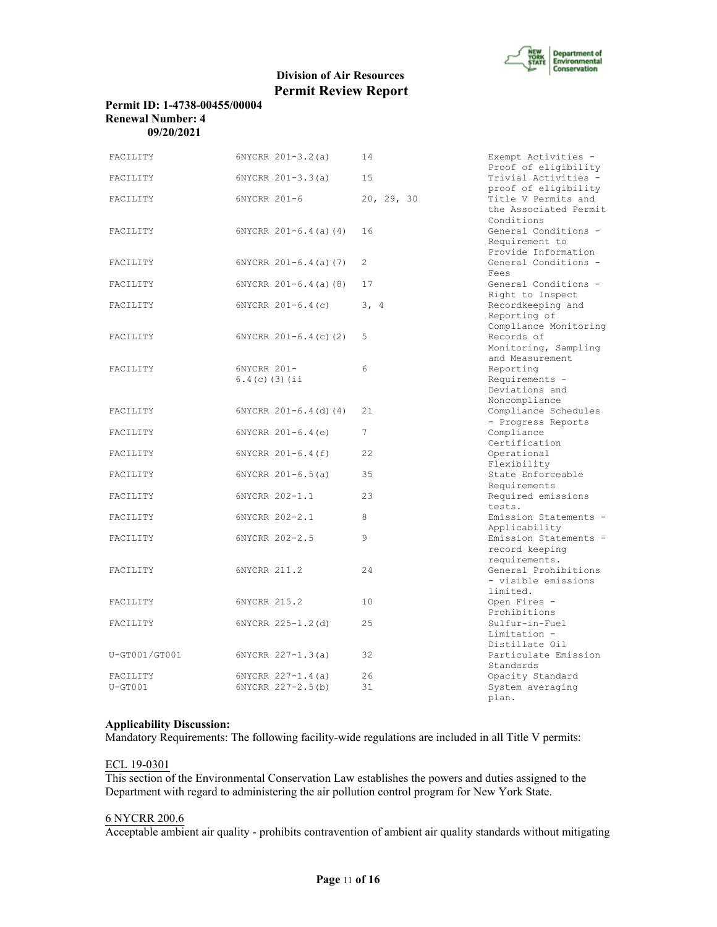

# **Permit ID: 1-4738-00455/00004 Renewal Number: 4 09/20/2021**

| FACILITY      | $6NYCRR 201-3.2(a)$             | 14          | Exempt Activities -<br>Proof of eligibility                    |
|---------------|---------------------------------|-------------|----------------------------------------------------------------|
| FACILITY      | 6NYCRR 201-3.3(a)               | 15          | Trivial Activities -<br>proof of eligibility                   |
| FACILITY      | 6NYCRR 201-6                    | 20, 29, 30  | Title V Permits and<br>the Associated Permit<br>Conditions     |
| FACILITY      | $6NYCRR$ $201-6.4$ (a) (4)      | 16          | General Conditions -<br>Requirement to<br>Provide Information  |
| FACILITY      | $6NYCRR$ $201-6.4$ (a) (7)      | 2           | General Conditions -<br>Fees                                   |
| FACILITY      | $6NYCRR$ $201-6.4$ (a) (8)      | 17          | General Conditions -<br>Right to Inspect                       |
| FACILITY      | $6NYCRR 201-6.4(c)$             | 3, 4        | Recordkeeping and<br>Reporting of<br>Compliance Monitoring     |
| FACILITY      | $6NYCRR$ $201-6.4(c)$ (2)       | 5           | Records of<br>Monitoring, Sampling<br>and Measurement          |
| FACILITY      | 6NYCRR 201-<br>$6.4(c)$ (3) (ii | 6           | Reporting<br>Requirements -<br>Deviations and<br>Noncompliance |
| FACILITY      | $6NYCRR 201-6.4(d) (4)$         | 21          | Compliance Schedules<br>- Progress Reports                     |
| FACILITY      | $6NYCRR 201-6.4(e)$             | $7^{\circ}$ | Compliance<br>Certification                                    |
| FACILITY      | 6NYCRR 201-6.4(f)               | 22          | Operational<br>Flexibility                                     |
| FACILITY      | $6NYCRR 201-6.5(a)$             | 35          | State Enforceable<br>Requirements                              |
| FACILITY      | 6NYCRR 202-1.1                  | 23          | Required emissions<br>tests.                                   |
| FACILITY      | 6NYCRR 202-2.1                  | 8           | Emission Statements -<br>Applicability                         |
| FACILITY      | 6NYCRR 202-2.5                  | 9           | Emission Statements -<br>record keeping<br>requirements.       |
| FACILITY      | 6NYCRR 211.2                    | 24          | General Prohibitions<br>- visible emissions<br>limited.        |
| FACILITY      | 6NYCRR 215.2                    | 10          | Open Fires -<br>Prohibitions                                   |
| FACILITY      | 6NYCRR 225-1.2(d)               | 25          | Sulfur-in-Fuel<br>Limitation -<br>Distillate Oil               |
| U-GT001/GT001 | $6NYCRR 227-1.3(a)$             | 32          | Particulate Emission<br>Standards                              |
| FACILITY      | $6NYCRR 227-1.4(a)$             | 26          | Opacity Standard                                               |
| $U - GT001$   | 6NYCRR 227-2.5(b)               | 31          | System averaging<br>plan.                                      |

# **Applicability Discussion:**

Mandatory Requirements: The following facility-wide regulations are included in all Title V permits:

# ECL 19-0301

This section of the Environmental Conservation Law establishes the powers and duties assigned to the Department with regard to administering the air pollution control program for New York State.

# 6 NYCRR 200.6

Acceptable ambient air quality - prohibits contravention of ambient air quality standards without mitigating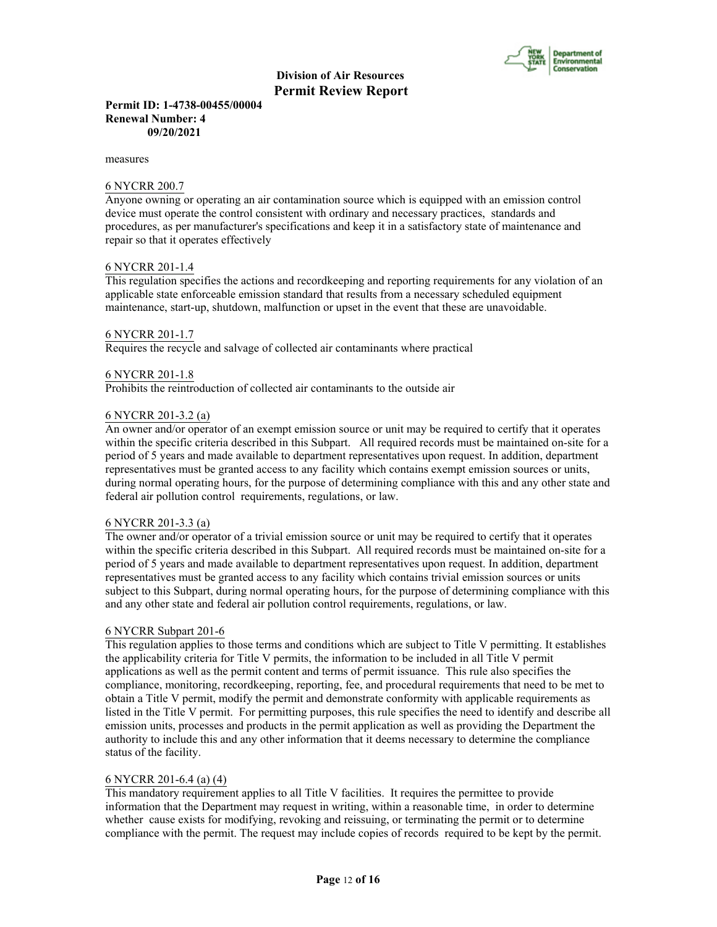

#### **Permit ID: 1-4738-00455/00004 Renewal Number: 4 09/20/2021**

measures

#### 6 NYCRR 200.7

Anyone owning or operating an air contamination source which is equipped with an emission control device must operate the control consistent with ordinary and necessary practices, standards and procedures, as per manufacturer's specifications and keep it in a satisfactory state of maintenance and repair so that it operates effectively

# 6 NYCRR 201-1.4

This regulation specifies the actions and recordkeeping and reporting requirements for any violation of an applicable state enforceable emission standard that results from a necessary scheduled equipment maintenance, start-up, shutdown, malfunction or upset in the event that these are unavoidable.

#### 6 NYCRR 201-1.7

Requires the recycle and salvage of collected air contaminants where practical

#### 6 NYCRR 201-1.8

Prohibits the reintroduction of collected air contaminants to the outside air

#### 6 NYCRR 201-3.2 (a)

An owner and/or operator of an exempt emission source or unit may be required to certify that it operates within the specific criteria described in this Subpart. All required records must be maintained on-site for a period of 5 years and made available to department representatives upon request. In addition, department representatives must be granted access to any facility which contains exempt emission sources or units, during normal operating hours, for the purpose of determining compliance with this and any other state and federal air pollution control requirements, regulations, or law.

#### 6 NYCRR 201-3.3 (a)

The owner and/or operator of a trivial emission source or unit may be required to certify that it operates within the specific criteria described in this Subpart. All required records must be maintained on-site for a period of 5 years and made available to department representatives upon request. In addition, department representatives must be granted access to any facility which contains trivial emission sources or units subject to this Subpart, during normal operating hours, for the purpose of determining compliance with this and any other state and federal air pollution control requirements, regulations, or law.

# 6 NYCRR Subpart 201-6

This regulation applies to those terms and conditions which are subject to Title V permitting. It establishes the applicability criteria for Title V permits, the information to be included in all Title V permit applications as well as the permit content and terms of permit issuance. This rule also specifies the compliance, monitoring, recordkeeping, reporting, fee, and procedural requirements that need to be met to obtain a Title V permit, modify the permit and demonstrate conformity with applicable requirements as listed in the Title V permit. For permitting purposes, this rule specifies the need to identify and describe all emission units, processes and products in the permit application as well as providing the Department the authority to include this and any other information that it deems necessary to determine the compliance status of the facility.

#### 6 NYCRR 201-6.4 (a) (4)

This mandatory requirement applies to all Title V facilities. It requires the permittee to provide information that the Department may request in writing, within a reasonable time, in order to determine whether cause exists for modifying, revoking and reissuing, or terminating the permit or to determine compliance with the permit. The request may include copies of records required to be kept by the permit.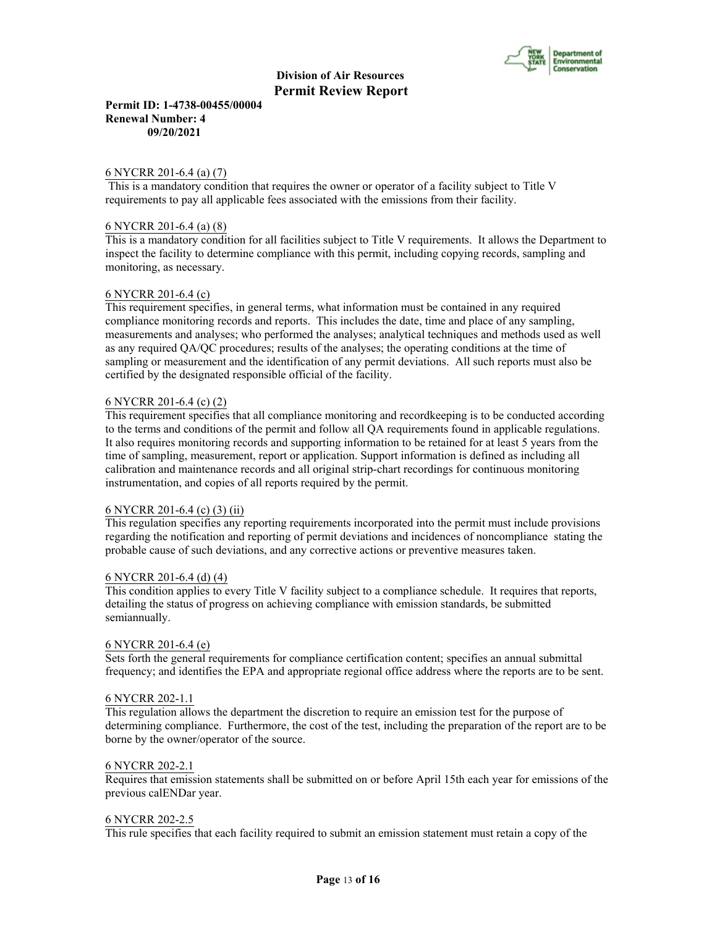

**Permit ID: 1-4738-00455/00004 Renewal Number: 4 09/20/2021**

#### 6 NYCRR 201-6.4 (a) (7)

 This is a mandatory condition that requires the owner or operator of a facility subject to Title V requirements to pay all applicable fees associated with the emissions from their facility.

# 6 NYCRR 201-6.4 (a) (8)

This is a mandatory condition for all facilities subject to Title V requirements. It allows the Department to inspect the facility to determine compliance with this permit, including copying records, sampling and monitoring, as necessary.

# 6 NYCRR 201-6.4 (c)

This requirement specifies, in general terms, what information must be contained in any required compliance monitoring records and reports. This includes the date, time and place of any sampling, measurements and analyses; who performed the analyses; analytical techniques and methods used as well as any required QA/QC procedures; results of the analyses; the operating conditions at the time of sampling or measurement and the identification of any permit deviations. All such reports must also be certified by the designated responsible official of the facility.

# 6 NYCRR 201-6.4 (c) (2)

This requirement specifies that all compliance monitoring and recordkeeping is to be conducted according to the terms and conditions of the permit and follow all QA requirements found in applicable regulations. It also requires monitoring records and supporting information to be retained for at least 5 years from the time of sampling, measurement, report or application. Support information is defined as including all calibration and maintenance records and all original strip-chart recordings for continuous monitoring instrumentation, and copies of all reports required by the permit.

#### 6 NYCRR 201-6.4 (c) (3) (ii)

This regulation specifies any reporting requirements incorporated into the permit must include provisions regarding the notification and reporting of permit deviations and incidences of noncompliance stating the probable cause of such deviations, and any corrective actions or preventive measures taken.

#### 6 NYCRR 201-6.4 (d) (4)

This condition applies to every Title V facility subject to a compliance schedule. It requires that reports, detailing the status of progress on achieving compliance with emission standards, be submitted semiannually.

#### 6 NYCRR 201-6.4 (e)

Sets forth the general requirements for compliance certification content; specifies an annual submittal frequency; and identifies the EPA and appropriate regional office address where the reports are to be sent.

#### 6 NYCRR 202-1.1

This regulation allows the department the discretion to require an emission test for the purpose of determining compliance. Furthermore, the cost of the test, including the preparation of the report are to be borne by the owner/operator of the source.

#### 6 NYCRR 202-2.1

Requires that emission statements shall be submitted on or before April 15th each year for emissions of the previous calENDar year.

#### 6 NYCRR 202-2.5

This rule specifies that each facility required to submit an emission statement must retain a copy of the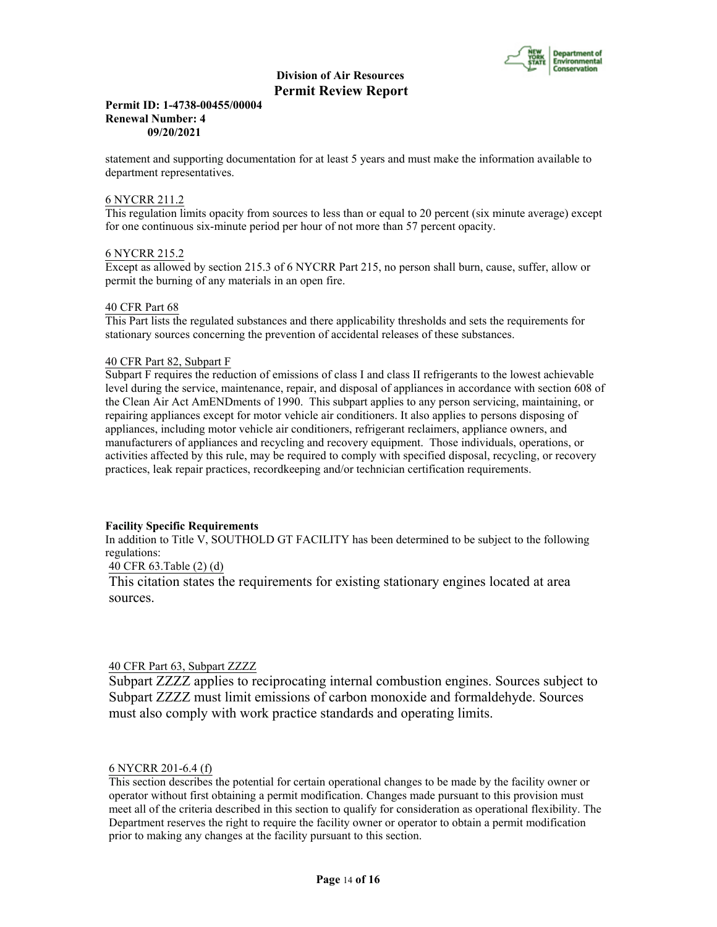

#### **Permit ID: 1-4738-00455/00004 Renewal Number: 4 09/20/2021**

statement and supporting documentation for at least 5 years and must make the information available to department representatives.

# 6 NYCRR 211.2

This regulation limits opacity from sources to less than or equal to 20 percent (six minute average) except for one continuous six-minute period per hour of not more than 57 percent opacity.

# 6 NYCRR 215.2

Except as allowed by section 215.3 of 6 NYCRR Part 215, no person shall burn, cause, suffer, allow or permit the burning of any materials in an open fire.

#### 40 CFR Part 68

This Part lists the regulated substances and there applicability thresholds and sets the requirements for stationary sources concerning the prevention of accidental releases of these substances.

# 40 CFR Part 82, Subpart F

Subpart F requires the reduction of emissions of class I and class II refrigerants to the lowest achievable level during the service, maintenance, repair, and disposal of appliances in accordance with section 608 of the Clean Air Act AmENDments of 1990. This subpart applies to any person servicing, maintaining, or repairing appliances except for motor vehicle air conditioners. It also applies to persons disposing of appliances, including motor vehicle air conditioners, refrigerant reclaimers, appliance owners, and manufacturers of appliances and recycling and recovery equipment. Those individuals, operations, or activities affected by this rule, may be required to comply with specified disposal, recycling, or recovery practices, leak repair practices, recordkeeping and/or technician certification requirements.

#### **Facility Specific Requirements**

In addition to Title V, SOUTHOLD GT FACILITY has been determined to be subject to the following regulations:

40 CFR 63.Table (2) (d)

This citation states the requirements for existing stationary engines located at area sources.

# 40 CFR Part 63, Subpart ZZZZ

Subpart ZZZZ applies to reciprocating internal combustion engines. Sources subject to Subpart ZZZZ must limit emissions of carbon monoxide and formaldehyde. Sources must also comply with work practice standards and operating limits.

#### 6 NYCRR 201-6.4 (f)

This section describes the potential for certain operational changes to be made by the facility owner or operator without first obtaining a permit modification. Changes made pursuant to this provision must meet all of the criteria described in this section to qualify for consideration as operational flexibility. The Department reserves the right to require the facility owner or operator to obtain a permit modification prior to making any changes at the facility pursuant to this section.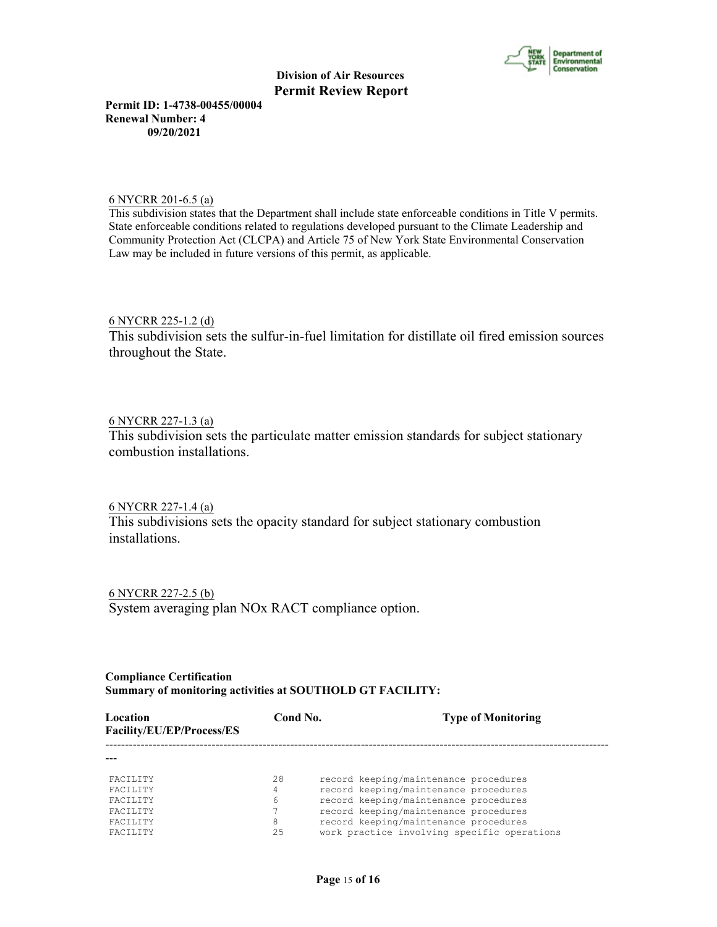

**Permit ID: 1-4738-00455/00004 Renewal Number: 4 09/20/2021**

6 NYCRR 201-6.5 (a)

This subdivision states that the Department shall include state enforceable conditions in Title V permits. State enforceable conditions related to regulations developed pursuant to the Climate Leadership and Community Protection Act (CLCPA) and Article 75 of New York State Environmental Conservation Law may be included in future versions of this permit, as applicable.

6 NYCRR 225-1.2 (d)

This subdivision sets the sulfur-in-fuel limitation for distillate oil fired emission sources throughout the State.

# 6 NYCRR 227-1.3 (a)

This subdivision sets the particulate matter emission standards for subject stationary combustion installations.

6 NYCRR 227-1.4 (a)

This subdivisions sets the opacity standard for subject stationary combustion installations.

6 NYCRR 227-2.5 (b) System averaging plan NOx RACT compliance option.

# **Compliance Certification Summary of monitoring activities at SOUTHOLD GT FACILITY:**

| Location<br>Facility/EU/EP/Process/ES | Cond No. | <b>Type of Monitoring</b>                   |
|---------------------------------------|----------|---------------------------------------------|
|                                       |          |                                             |
| <b>FACTLITY</b>                       | 28       | record keeping/maintenance procedures       |
| <b>FACTLITY</b>                       | 4        | record keeping/maintenance procedures       |
| <b>FACTLITY</b>                       | 6        | record keeping/maintenance procedures       |
| <b>FACTLITY</b>                       |          | record keeping/maintenance procedures       |
| <b>FACTLITY</b>                       | 8        | record keeping/maintenance procedures       |
| <b>FACTLITY</b>                       | 2.5      | work practice involving specific operations |